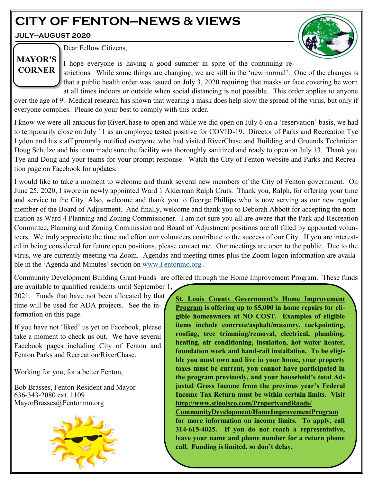# **CITY OF FENTON—NEWS & VIEWS**

**JULY—AUGUST 2020**



Dear Fellow Citizens,

# **MAYOR'S CORNER**

I hope everyone is having a good summer in spite of the continuing restrictions. While some things are changing, we are still in the 'new normal'. One of the changes is that a public health order was issued on July 3, 2020 requiring that masks or face covering be worn at all times indoors or outside when social distancing is not possible. This order applies to anyone

over the age of 9. Medical research has shown that wearing a mask does help slow the spread of the virus, but only if everyone complies. Please do your best to comply with this order.

I know we were all anxious for RiverChase to open and while we did open on July 6 on a 'reservation' basis, we had to temporarily close on July 11 as an employee tested positive for COVID-19. Director of Parks and Recreation Tye Lydon and his staff promptly notified everyone who had visited RiverChase and Building and Grounds Technician Doug Schulze and his team made sure the facility was thoroughly sanitized and ready to open on July 13. Thank you Tye and Doug and your teams for your prompt response. Watch the City of Fenton website and Parks and Recreation page on Facebook for updates.

I would like to take a moment to welcome and thank several new members of the City of Fenton government. On June 25, 2020, I swore in newly appointed Ward 1 Alderman Ralph Cruts. Thank you, Ralph, for offering your time and service to the City. Also, welcome and thank you to George Phillips who is now serving as our new regular member of the Board of Adjustment. And finally, welcome and thank you to Deborah Abbott for accepting the nomination as Ward 4 Planning and Zoning Commissioner. I am not sure you all are aware that the Park and Recreation Committee, Planning and Zoning Commission and Board of Adjustment positions are all filled by appointed volunteers. We truly appreciate the time and effort our volunteers contribute to the success of our City. If you are interested in being considered for future open positions, please contact me. Our meetings are open to the public. Due to the virus, we are currently meeting via Zoom. Agendas and meeting times plus the Zoom logon information are available in the 'Agenda and Minutes' section on [www.Fentonmo.org](http://www.Fentonmo.org) .

Community Development Building Grant Funds are offered through the Home Improvement Program. These funds

are available to qualified residents until September 1, 2021. Funds that have not been allocated by that time will be used for ADA projects. See the information on this page.

If you have not 'liked' us yet on Facebook, please take a moment to check us out. We have several Facebook pages including City of Fenton and Fenton Parks and Recreation/RiverChase.

Working for you, for a better Fenton,

Bob Brasses, Fenton Resident and Mayor 636-343-2080 ext. 1109 MayorBrasses@Fentonmo.org



**St. Louis County Government's Home Improvement Program is offering up to \$5,000 in home repairs for eligible homeowners at NO COST. Examples of eligible items include concrete/asphalt/masonry, tuckpointing, roofing, tree trimming/removal, electrical, plumbing, heating, air conditioning, insulation, hot water heater, foundation work and hand-rail installation. To be eligible you must own and live in your home, your property taxes must be current, you cannot have participated in the program previously, and your household's total Adjusted Gross Income from the previous year's Federal Income Tax Return must be within certain limits. Visit http://www.stlouisco.com/PropertyandRoads/ CommunityDevelopment/HomeImprovementProgram for more information on income limits. To apply, call** 

**314-615-4025. If you do not reach a representative, leave your name and phone number for a return phone call. Funding is limited, so don't delay.**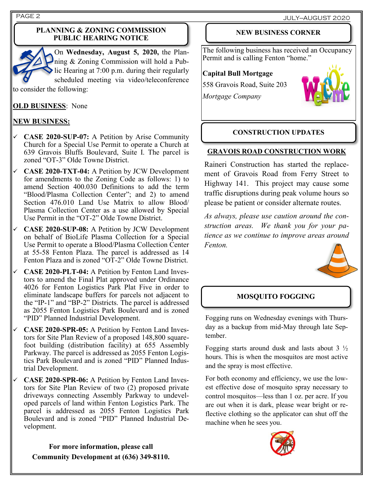#### **PLANNING & ZONING COMMISSION PUBLIC HEARING NOTICE**



On **Wednesday, August 5, 2020,** the Planning & Zoning Commission will hold a Public Hearing at 7:00 p.m. during their regularly scheduled meeting via video/teleconference

to consider the following:

**OLD BUSINESS**: None

## **NEW BUSINESS:**

- ✓ **CASE 2020-SUP-07:** A Petition by Arise Community Church for a Special Use Permit to operate a Church at 639 Gravois Bluffs Boulevard, Suite I. The parcel is zoned "OT-3" Olde Towne District.
- ✓ **CASE 2020-TXT-04:** A Petition by JCW Development for amendments to the Zoning Code as follows: 1) to amend Section 400.030 Definitions to add the term "Blood/Plasma Collection Center"; and 2) to amend Section 476.010 Land Use Matrix to allow Blood/ Plasma Collection Center as a use allowed by Special Use Permit in the "OT-2" Olde Towne District.
- ✓ **CASE 2020-SUP-08:** A Petition by JCW Development on behalf of BioLife Plasma Collection for a Special Use Permit to operate a Blood/Plasma Collection Center at 55-58 Fenton Plaza. The parcel is addressed as 14 Fenton Plaza and is zoned "OT-2" Olde Towne District.
- ✓ **CASE 2020-PLT-04:** A Petition by Fenton Land Investors to amend the Final Plat approved under Ordinance 4026 for Fenton Logistics Park Plat Five in order to eliminate landscape buffers for parcels not adjacent to the "IP-1" and "BP-2" Districts. The parcel is addressed as 2055 Fenton Logistics Park Boulevard and is zoned "PID" Planned Industrial Development.
- ✓ **CASE 2020-SPR-05:** A Petition by Fenton Land Investors for Site Plan Review of a proposed 148,800 squarefoot building (distribution facility) at 655 Assembly Parkway. The parcel is addressed as 2055 Fenton Logistics Park Boulevard and is zoned "PID" Planned Industrial Development.
- ✓ **CASE 2020-SPR-06:** A Petition by Fenton Land Investors for Site Plan Review of two (2) proposed private driveways connecting Assembly Parkway to undeveloped parcels of land within Fenton Logistics Park. The parcel is addressed as 2055 Fenton Logistics Park Boulevard and is zoned "PID" Planned Industrial Development.

**For more information, please call Community Development at (636) 349-8110.**

## **NEW BUSINESS CORNER**

The following business has received an Occupancy Permit and is calling Fenton "home."

### **Capital Bull Mortgage**

558 Gravois Road, Suite 203 *Mortgage Company*



## **CONSTRUCTION UPDATES**

### **GRAVOIS ROAD CONSTRUCTION WORK**

Raineri Construction has started the replacement of Gravois Road from Ferry Street to Highway 141. This project may cause some traffic disruptions during peak volume hours so please be patient or consider alternate routes.

*As always, please use caution around the construction areas. We thank you for your patience as we continue to improve areas around Fenton.*



## **MOSQUITO FOGGING**

Fogging runs on Wednesday evenings with Thursday as a backup from mid-May through late September.

Fogging starts around dusk and lasts about 3 ½ hours. This is when the mosquitos are most active and the spray is most effective.

For both economy and efficiency, we use the lowest effective dose of mosquito spray necessary to control mosquitos—less than 1 oz. per acre. If you are out when it is dark, please wear bright or reflective clothing so the applicator can shut off the machine when he sees you.

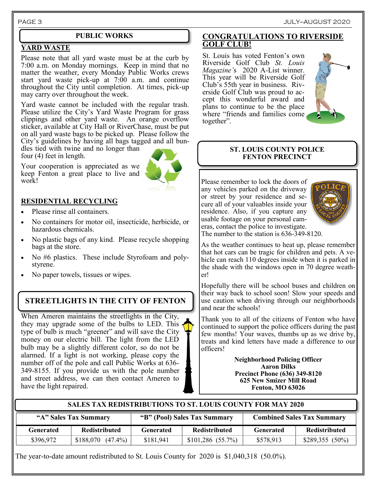#### **YARD WASTE**

Please note that all yard waste must be at the curb by 7:00 a.m. on Monday mornings. Keep in mind that no matter the weather, every Monday Public Works crews start yard waste pick-up at 7:00 a.m. and continue throughout the City until completion. At times, pick-up may carry over throughout the week.

Yard waste cannot be included with the regular trash. Please utilize the City's Yard Waste Program for grass clippings and other yard waste. An orange overflow sticker, available at City Hall or RiverChase, must be put on all yard waste bags to be picked up. Please follow the City's guidelines by having all bags tagged and all bun-

dles tied with twine and no longer than four (4) feet in length.



## keep Fenton a great place to live and work!

#### **RESIDENTIAL RECYCLING**

- Please rinse all containers.
- No containers for motor oil, insecticide, herbicide, or hazardous chemicals.
- No plastic bags of any kind. Please recycle shopping bags at the store.
- No #6 plastics. These include Styrofoam and polystyrene.
- No paper towels, tissues or wipes.

## **STREETLIGHTS IN THE CITY OF FENTON**

When Ameren maintains the streetlights in the City, they may upgrade some of the bulbs to LED. This type of bulb is much "greener" and will save the City money on our electric bill. The light from the LED bulb may be a slightly different color, so do not be alarmed. If a light is not working, please copy the number off of the pole and call Public Works at 636- 349-8155. If you provide us with the pole number and street address, we can then contact Ameren to have the light repaired.

#### **PUBLIC WORKS CONGRATULATIONS TO RIVERSIDE GOLF CLUB!**

St. Louis has voted Fenton's own Riverside Golf Club *St. Louis Magazine'*s 2020 A-List winner. This year will be Riverside Golf Club's 55th year in business. Riverside Golf Club was proud to accept this wonderful award and plans to continue to be the place where "friends and families come together".



#### **ST. LOUIS COUNTY POLICE FENTON PRECINCT**

Please remember to lock the doors of any vehicles parked on the driveway or street by your residence and secure all of your valuables inside your residence. Also, if you capture any usable footage on your personal cameras, contact the police to investigate.



The number to the station is 636-349-8120.

As the weather continues to heat up, please remember that hot cars can be tragic for children and pets. A vehicle can reach 110 degrees inside when it is parked in the shade with the windows open in 70 degree weather!

Hopefully there will be school buses and children on their way back to school soon! Slow your speeds and use caution when driving through our neighborhoods and near the schools!

Thank you to all of the citizens of Fenton who have continued to support the police officers during the past few months! Your waves, thumbs up as we drive by, treats and kind letters have made a difference to our officers!

> **Neighborhood Policing Officer Aaron Dilks Precinct Phone (636) 349-8120 625 New Smizer Mill Road Fenton, MO 63026**

| "A" Sales Tax Summary |                       | "B" (Pool) Sales Tax Summary |                      | <b>Combined Sales Tax Summary</b> |                      |
|-----------------------|-----------------------|------------------------------|----------------------|-----------------------------------|----------------------|
| <b>Generated</b>      | <b>Redistributed</b>  | <b>Generated</b>             | <b>Redistributed</b> | <b>Generated</b>                  | <b>Redistributed</b> |
| \$396,972             | $$188,070$ $(47.4\%)$ | \$181,941                    | $$101,286$ (55.7%)   | \$578,913                         | $$289,355(50\%)$     |

**SALES TAX REDISTRIBUTIONS TO ST. LOUIS COUNTY FOR MAY 2020**

The year-to-date amount redistributed to St. Louis County for 2020 is \$1,040,318 (50.0%).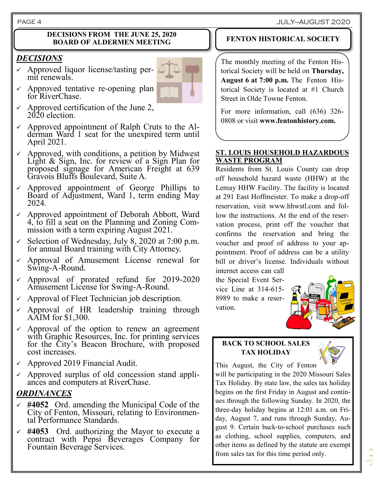#### PAGE 4 JULY—AUGUST 2020

#### **DECISIONS FROM THE JUNE 25, 2020 BOARD OF ALDERMEN MEETING**

## *DECISIONS*

 $\checkmark$  Approved liquor license/tasting permit renewals.



- Approved tentative re-opening plan for RiverChase.
- Approved certification of the June 2, 2020 election.
- Approved appointment of Ralph Cruts to the Alderman Ward 1 seat for the unexpired term until April 2021.
- $\checkmark$  Approved, with conditions, a petition by Midwest Light & Sign, Inc. for review of a Sign Plan for proposed signage for American Freight at 639 Gravois Bluffs Boulevard, Suite A.
- Approved appointment of George Phillips to Board of Adjustment, Ward 1, term ending May 2024.
- $\checkmark$  Approved appointment of Deborah Abbott, Ward 4, to fill a seat on the Planning and Zoning Commission with a term expiring August 2021.
- $\checkmark$  Selection of Wednesday, July 8, 2020 at 7:00 p.m. for annual Board training with City Attorney.
- $\checkmark$  Approval of Amusement License renewal for Swing-A-Round.
- ✓ Approval of prorated refund for 2019-2020 Amusement License for Swing-A-Round.
- $\checkmark$  Approval of Fleet Technician job description.
- $\checkmark$  Approval of HR leadership training through AAIM for \$1,300.
- Approval of the option to renew an agreement with Graphic Resources, Inc. for printing services for the City's Beacon Brochure, with proposed cost increases.
- $\sim$  Approved 2019 Financial Audit.
- $\checkmark$  Approved surplus of old concession stand appliances and computers at RiverChase.

## *ORDINANCES*

- ✓ **#4052** Ord. amending the Municipal Code of the City of Fenton, Missouri, relating to Environmental Performance Standards.
- ✓ **#4053** Ord. authorizing the Mayor to execute a contract with Pepsi Beverages Company for Fountain Beverage Services.

## **FENTON HISTORICAL SOCIETY**

The monthly meeting of the Fenton Historical Society will be held on **Thursday, August 6 at 7:00 p.m.** The Fenton Historical Society is located at #1 Church Street in Olde Towne Fenton.

For more information, call (636) 326- 0808 or visit **www.fentonhistory.com.**

#### **ST. LOUIS HOUSEHOLD HAZARDOUS WASTE PROGRAM**

Residents from St. Louis County can drop off household hazard waste (HHW) at the Lemay HHW Facility. The facility is located at 291 East Hoffmeister. To make a drop-off reservation, visit www.hhwstl.com and follow the instructions. At the end of the reservation process, print off the voucher that confirms the reservation and bring the voucher and proof of address to your appointment. Proof of address can be a utility bill or driver's license. Individuals without

internet access can call the Special Event Service Line at 314-615- 8989 to make a reservation.



### **BACK TO SCHOOL SALES TAX HOLIDAY**



This August, the City of Fenton

will be participating in the 2020 Missouri Sales Tax Holiday. By state law, the sales tax holiday begins on the first Friday in August and continues through the following Sunday. In 2020, the three-day holiday begins at 12:01 a.m. on Friday, August 7, and runs through Sunday, August 9. Certain back-to-school purchases such as clothing, school supplies, computers, and other items as defined by the statute are exempt from sales tax for this time period only.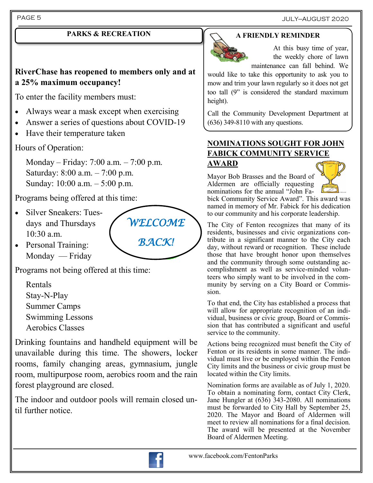PAGE 5 JULY—AUGUST 2020

## **PARKS & RECREATION**

## **RiverChase has reopened to members only and at a 25% maximum occupancy!**

To enter the facility members must:

- Always wear a mask except when exercising
- Answer a series of questions about COVID-19
- Have their temperature taken

Hours of Operation:

Monday – Friday: 7:00 a.m. – 7:00 p.m. Saturday: 8:00 a.m. – 7:00 p.m. Sunday: 10:00 a.m. – 5:00 p.m.

Programs being offered at this time:

• Silver Sneakers: Tuesdays and Thursdays 10:30 a.m.



• Personal Training: Monday — Friday

Programs not being offered at this time:

Rentals Stay-N-Play Summer Camps Swimming Lessons Aerobics Classes

Drinking fountains and handheld equipment will be unavailable during this time. The showers, locker rooms, family changing areas, gymnasium, jungle room, multipurpose room, aerobics room and the rain forest playground are closed.

The indoor and outdoor pools will remain closed until further notice.

## **A FRIENDLY REMINDER**



At this busy time of year, the weekly chore of lawn maintenance can fall behind. We

would like to take this opportunity to ask you to mow and trim your lawn regularly so it does not get too tall (9" is considered the standard maximum height).

Call the Community Development Department at (636) 349-8110 with any questions.

## **NOMINATIONS SOUGHT FOR JOHN FABICK COMMUNITY SERVICE AWARD**

Mayor Bob Brasses and the Board of Aldermen are officially requesting nominations for the annual "John Fa-



bick Community Service Award". This award was named in memory of Mr. Fabick for his dedication to our community and his corporate leadership.

The City of Fenton recognizes that many of its residents, businesses and civic organizations contribute in a significant manner to the City each day, without reward or recognition. These include those that have brought honor upon themselves and the community through some outstanding accomplishment as well as service-minded volunteers who simply want to be involved in the community by serving on a City Board or Commission.

To that end, the City has established a process that will allow for appropriate recognition of an individual, business or civic group, Board or Commission that has contributed a significant and useful service to the community.

Actions being recognized must benefit the City of Fenton or its residents in some manner. The individual must live or be employed within the Fenton City limits and the business or civic group must be located within the City limits.

Nomination forms are available as of July 1, 2020. To obtain a nominating form, contact City Clerk, Jane Hungler at (636) 343-2080. All nominations must be forwarded to City Hall by September 25, 2020. The Mayor and Board of Aldermen will meet to review all nominations for a final decision. The award will be presented at the November Board of Aldermen Meeting.